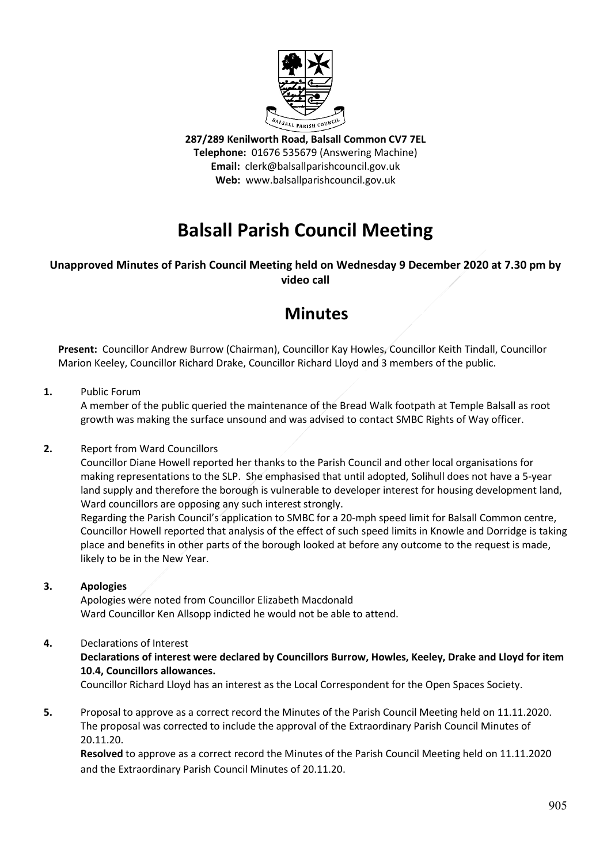

**287/289 Kenilworth Road, Balsall Common CV7 7EL Telephone:** 01676 535679 (Answering Machine) **Email:** clerk@balsallparishcouncil.gov.uk **Web:** www.balsallparishcouncil.gov.uk

# **Balsall Parish Council Meeting**

# **Unapproved Minutes of Parish Council Meeting held on Wednesday 9 December 2020 at 7.30 pm by video call**

# **Minutes**

**Present:** Councillor Andrew Burrow (Chairman), Councillor Kay Howles, Councillor Keith Tindall, Councillor Marion Keeley, Councillor Richard Drake, Councillor Richard Lloyd and 3 members of the public.

# **1.** Public Forum

A member of the public queried the maintenance of the Bread Walk footpath at Temple Balsall as root growth was making the surface unsound and was advised to contact SMBC Rights of Way officer.

### **2.** Report from Ward Councillors

Councillor Diane Howell reported her thanks to the Parish Council and other local organisations for making representations to the SLP. She emphasised that until adopted, Solihull does not have a 5-year land supply and therefore the borough is vulnerable to developer interest for housing development land, Ward councillors are opposing any such interest strongly.

Regarding the Parish Council's application to SMBC for a 20-mph speed limit for Balsall Common centre, Councillor Howell reported that analysis of the effect of such speed limits in Knowle and Dorridge is taking place and benefits in other parts of the borough looked at before any outcome to the request is made, likely to be in the New Year.

### **3. Apologies**

Apologies were noted from Councillor Elizabeth Macdonald Ward Councillor Ken Allsopp indicted he would not be able to attend.

# **4.** Declarations of Interest

**Declarations of interest were declared by Councillors Burrow, Howles, Keeley, Drake and Lloyd for item 10.4, Councillors allowances.**

Councillor Richard Lloyd has an interest as the Local Correspondent for the Open Spaces Society.

**5.** Proposal to approve as a correct record the Minutes of the Parish Council Meeting held on 11.11.2020. The proposal was corrected to include the approval of the Extraordinary Parish Council Minutes of 20.11.20.

**Resolved** to approve as a correct record the Minutes of the Parish Council Meeting held on 11.11.2020 and the Extraordinary Parish Council Minutes of 20.11.20.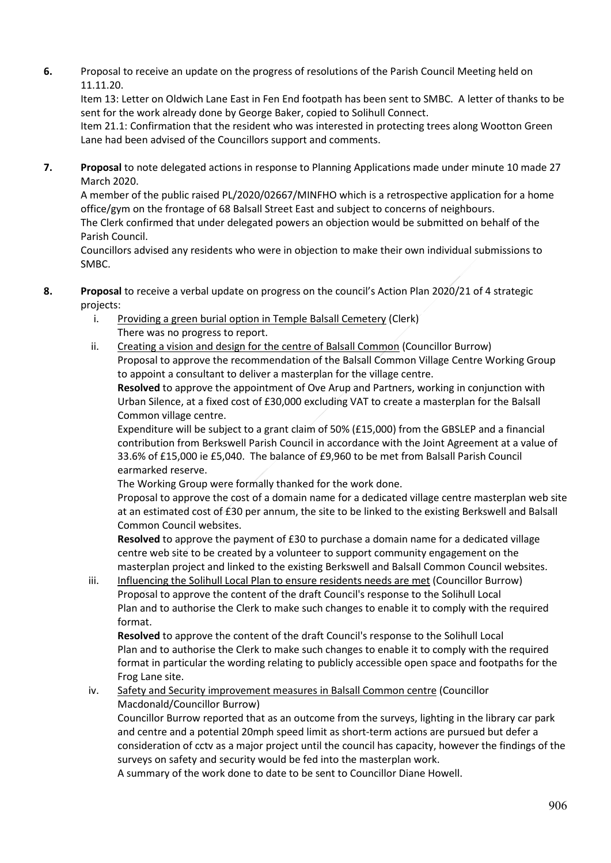**6.** Proposal to receive an update on the progress of resolutions of the Parish Council Meeting held on 11.11.20.

Item 13: Letter on Oldwich Lane East in Fen End footpath has been sent to SMBC. A letter of thanks to be sent for the work already done by George Baker, copied to Solihull Connect.

Item 21.1: Confirmation that the resident who was interested in protecting trees along Wootton Green Lane had been advised of the Councillors support and comments.

**7. Proposal** to note delegated actions in response to Planning Applications made under minute 10 made 27 March 2020.

A member of the public raised PL/2020/02667/MINFHO which is a retrospective application for a home office/gym on the frontage of 68 Balsall Street East and subject to concerns of neighbours.

The Clerk confirmed that under delegated powers an objection would be submitted on behalf of the Parish Council.

Councillors advised any residents who were in objection to make their own individual submissions to SMBC.

- **8. Proposal** to receive a verbal update on progress on the council's Action Plan 2020/21 of 4 strategic projects:
	- i. Providing a green burial option in Temple Balsall Cemetery (Clerk) There was no progress to report.
	- ii. Creating a vision and design for the centre of Balsall Common (Councillor Burrow) Proposal to approve the recommendation of the Balsall Common Village Centre Working Group to appoint a consultant to deliver a masterplan for the village centre.

**Resolved** to approve the appointment of Ove Arup and Partners, working in conjunction with Urban Silence, at a fixed cost of £30,000 excluding VAT to create a masterplan for the Balsall Common village centre.

Expenditure will be subject to a grant claim of 50% (£15,000) from the GBSLEP and a financial contribution from Berkswell Parish Council in accordance with the Joint Agreement at a value of 33.6% of £15,000 ie £5,040. The balance of £9,960 to be met from Balsall Parish Council earmarked reserve.

The Working Group were formally thanked for the work done.

Proposal to approve the cost of a domain name for a dedicated village centre masterplan web site at an estimated cost of £30 per annum, the site to be linked to the existing Berkswell and Balsall Common Council websites.

**Resolved** to approve the payment of £30 to purchase a domain name for a dedicated village centre web site to be created by a volunteer to support community engagement on the masterplan project and linked to the existing Berkswell and Balsall Common Council websites.

iii. Influencing the Solihull Local Plan to ensure residents needs are met (Councillor Burrow) Proposal to approve the content of the draft Council's response to the Solihull Local Plan and to authorise the Clerk to make such changes to enable it to comply with the required format.

**Resolved** to approve the content of the draft Council's response to the Solihull Local Plan and to authorise the Clerk to make such changes to enable it to comply with the required format in particular the wording relating to publicly accessible open space and footpaths for the Frog Lane site.

#### iv. Safety and Security improvement measures in Balsall Common centre (Councillor Macdonald/Councillor Burrow)

Councillor Burrow reported that as an outcome from the surveys, lighting in the library car park and centre and a potential 20mph speed limit as short-term actions are pursued but defer a consideration of cctv as a major project until the council has capacity, however the findings of the surveys on safety and security would be fed into the masterplan work.

A summary of the work done to date to be sent to Councillor Diane Howell.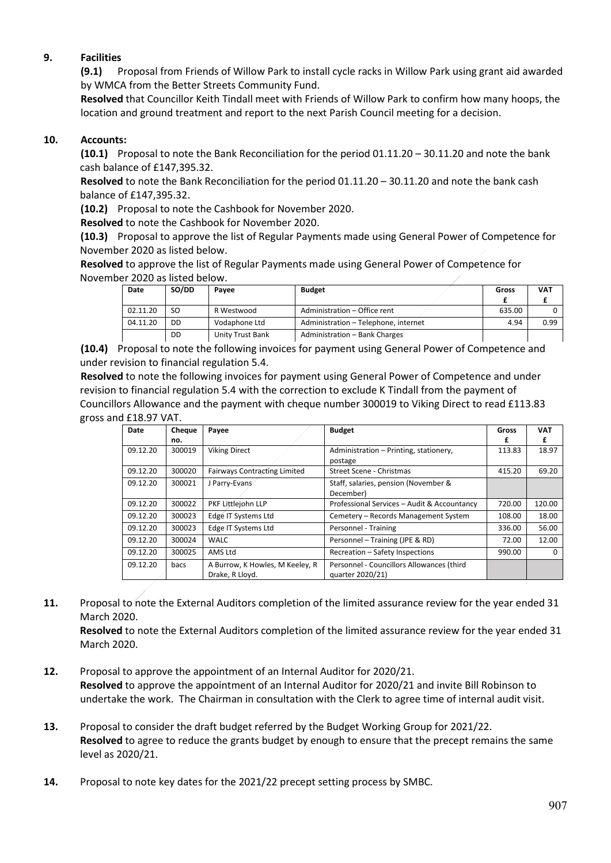# **9. Facilities**

**(9.1)** Proposal from Friends of Willow Park to install cycle racks in Willow Park using grant aid awarded by WMCA from the Better Streets Community Fund.

**Resolved** that Councillor Keith Tindall meet with Friends of Willow Park to confirm how many hoops, the location and ground treatment and report to the next Parish Council meeting for a decision.

### **10. Accounts:**

**(10.1)** Proposal to note the Bank Reconciliation for the period 01.11.20 – 30.11.20 and note the bank cash balance of £147,395.32.

**Resolved** to note the Bank Reconciliation for the period 01.11.20 – 30.11.20 and note the bank cash balance of £147,395.32.

**(10.2)** Proposal to note the Cashbook for November 2020.

**Resolved** to note the Cashbook for November 2020.

**(10.3)** Proposal to approve the list of Regular Payments made using General Power of Competence for November 2020 as listed below.

**Resolved** to approve the list of Regular Payments made using General Power of Competence for November 2020 as listed below.

| Date     | SO/DD | Pavee            | <b>Budget</b>                        | Gross  | <b>VAT</b> |
|----------|-------|------------------|--------------------------------------|--------|------------|
|          |       |                  |                                      |        |            |
| 02.11.20 | SO    | R Westwood       | Administration - Office rent         | 635.00 |            |
| 04.11.20 | DD    | Vodaphone Ltd    | Administration - Telephone, internet | 4.94   | 0.99       |
|          | DD    | Unity Trust Bank | Administration - Bank Charges        |        |            |

**(10.4)** Proposal to note the following invoices for payment using General Power of Competence and under revision to financial regulation 5.4.

**Resolved** to note the following invoices for payment using General Power of Competence and under revision to financial regulation 5.4 with the correction to exclude K Tindall from the payment of Councillors Allowance and the payment with cheque number 300019 to Viking Direct to read £113.83 gross and £18.97 VAT.

| Date     | Cheque | Payee                                              | <b>Budget</b>                                                 | Gross  | <b>VAT</b> |
|----------|--------|----------------------------------------------------|---------------------------------------------------------------|--------|------------|
|          | no.    |                                                    |                                                               | £      | £          |
| 09.12.20 | 300019 | <b>Viking Direct</b>                               | Administration – Printing, stationery,<br>postage             | 113.83 | 18.97      |
| 09.12.20 | 300020 | <b>Fairways Contracting Limited</b>                | Street Scene - Christmas                                      | 415.20 | 69.20      |
| 09.12.20 | 300021 | J Parry-Evans                                      | Staff, salaries, pension (November &<br>December)             |        |            |
| 09.12.20 | 300022 | PKF Littlejohn LLP                                 | Professional Services - Audit & Accountancy                   | 720.00 | 120.00     |
| 09.12.20 | 300023 | Edge IT Systems Ltd                                | Cemetery - Records Management System                          | 108.00 | 18.00      |
| 09.12.20 | 300023 | Edge IT Systems Ltd                                | Personnel - Training                                          | 336.00 | 56.00      |
| 09.12.20 | 300024 | <b>WALC</b>                                        | Personnel - Training (JPE & RD)                               | 72.00  | 12.00      |
| 09.12.20 | 300025 | AMS Ltd                                            | Recreation – Safety Inspections                               | 990.00 | 0          |
| 09.12.20 | bacs   | A Burrow, K Howles, M Keeley, R<br>Drake, R Lloyd. | Personnel - Councillors Allowances (third<br>quarter 2020/21) |        |            |

**11.** Proposal to note the External Auditors completion of the limited assurance review for the year ended 31 March 2020.

**Resolved** to note the External Auditors completion of the limited assurance review for the year ended 31 March 2020.

- **12.** Proposal to approve the appointment of an Internal Auditor for 2020/21. **Resolved** to approve the appointment of an Internal Auditor for 2020/21 and invite Bill Robinson to undertake the work. The Chairman in consultation with the Clerk to agree time of internal audit visit.
- **13.** Proposal to consider the draft budget referred by the Budget Working Group for 2021/22. **Resolved** to agree to reduce the grants budget by enough to ensure that the precept remains the same level as 2020/21.
- **14.** Proposal to note key dates for the 2021/22 precept setting process by SMBC.